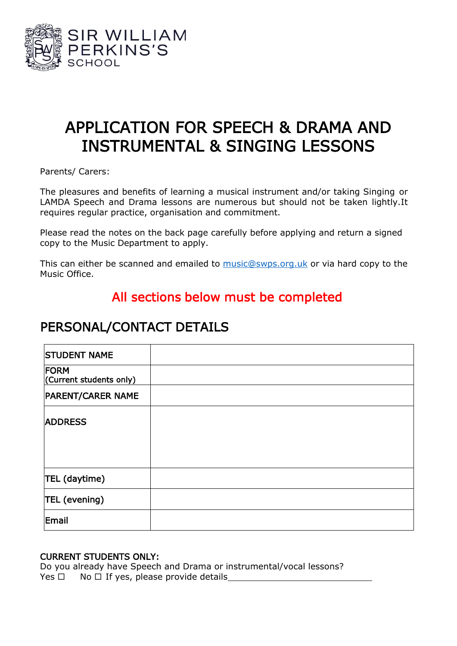

# APPLICATION FOR SPEECH & DRAMA AND INSTRUMENTAL & SINGING LESSONS

Parents/ Carers:

The pleasures and benefits of learning a musical instrument and/or taking Singing or LAMDA Speech and Drama lessons are numerous but should not be taken lightly.It requires regular practice, organisation and commitment.

Please read the notes on the back page carefully before applying and return a signed copy to the Music Department to apply.

This can either be scanned and emailed to [music@swps.org.uk](mailto:music@swps.org.uk) or via hard copy to the Music Office.

### All sections below must be completed

## PERSONAL/CONTACT DETAILS

| <b>STUDENT NAME</b>             |  |
|---------------------------------|--|
| FORM<br>(Current students only) |  |
| <b>PARENT/CARER NAME</b>        |  |
| <b>ADDRESS</b>                  |  |
|                                 |  |
| TEL (daytime)                   |  |
| TEL (evening)                   |  |
| Email                           |  |

### CURRENT STUDENTS ONLY:

Do you already have Speech and Drama or instrumental/vocal lessons? Yes  $\Box$  No  $\Box$  If yes, please provide details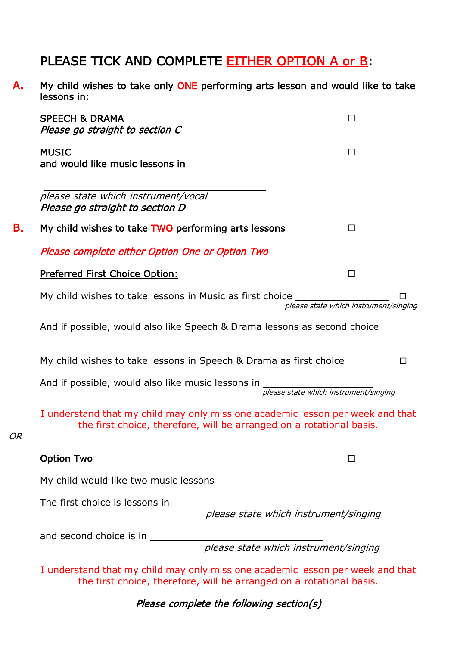## PLEASE TICK AND COMPLETE EITHER OPTION A or B:

A. My child wishes to take only ONE performing arts lesson and would like to take lessons in:

|    | <b>SPEECH &amp; DRAMA</b><br>Please go straight to section C                                                                                           | ΙI                                    |        |
|----|--------------------------------------------------------------------------------------------------------------------------------------------------------|---------------------------------------|--------|
|    | <b>MUSIC</b><br>and would like music lessons in                                                                                                        | □                                     |        |
|    | please state which instrument/vocal<br>Please go straight to section D                                                                                 |                                       |        |
| В. | My child wishes to take TWO performing arts lessons                                                                                                    | П                                     |        |
|    | Please complete either Option One or Option Two                                                                                                        |                                       |        |
|    | Preferred First Choice Option:                                                                                                                         | П                                     |        |
|    | My child wishes to take lessons in Music as first choice                                                                                               | please state which instrument/singing |        |
|    | And if possible, would also like Speech & Drama lessons as second choice                                                                               |                                       |        |
|    | My child wishes to take lessons in Speech & Drama as first choice                                                                                      |                                       | $\Box$ |
|    | And if possible, would also like music lessons in<br>please state which instrument/singing                                                             |                                       |        |
| ЭR | I understand that my child may only miss one academic lesson per week and that<br>the first choice, therefore, will be arranged on a rotational basis. |                                       |        |
|    | <b>Option Two</b>                                                                                                                                      |                                       |        |
|    | My child would like two music lessons                                                                                                                  |                                       |        |
|    | The first choice is lessons in<br>please state which instrument/singing                                                                                |                                       |        |
|    | and second choice is in ___________<br>please state which instrument/singing                                                                           |                                       |        |
|    | I understand that my child may only miss one academic lesson per week and that<br>the first choice, therefore, will be arranged on a rotational basis. |                                       |        |

OR

Please complete the following section(s)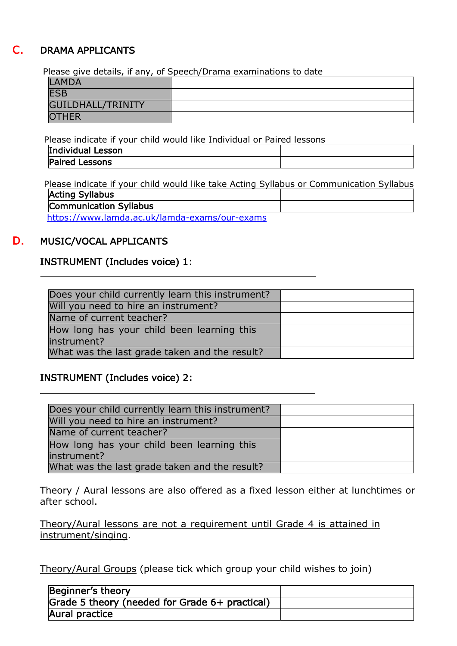### DRAMA APPLICANTS

Please give details, if any, of Speech/Drama examinations to date

| <b>LAMDA</b>      |  |
|-------------------|--|
| <b>ESB</b>        |  |
| GUILDHALL/TRINITY |  |
| <b>OTHER</b>      |  |

Please indicate if your child would like Individual or Paired lessons

| Individual Lesson     |  |
|-----------------------|--|
| <b>Paired Lessons</b> |  |

 Please indicate if your child would like take Acting Syllabus or Communication Syllabus Acting Syllabus Communication Syllabus

<https://www.lamda.ac.uk/lamda-exams/our-exams>

### D. MUSIC/VOCAL APPLICANTS

#### INSTRUMENT (Includes voice) 1:

| Does your child currently learn this instrument? |  |
|--------------------------------------------------|--|
| Will you need to hire an instrument?             |  |
| Name of current teacher?                         |  |
| How long has your child been learning this       |  |
| instrument?                                      |  |
| What was the last grade taken and the result?    |  |

### INSTRUMENT (Includes voice) 2:

| Does your child currently learn this instrument? |  |
|--------------------------------------------------|--|
| Will you need to hire an instrument?             |  |
| Name of current teacher?                         |  |
| How long has your child been learning this       |  |
| instrument?                                      |  |
| What was the last grade taken and the result?    |  |

Theory / Aural lessons are also offered as a fixed lesson either at lunchtimes or after school.

Theory/Aural lessons are not a requirement until Grade 4 is attained in instrument/singing.

Theory/Aural Groups (please tick which group your child wishes to join)

| Beginner's theory                                |  |
|--------------------------------------------------|--|
| Grade 5 theory (needed for Grade $6+$ practical) |  |
| Aural practice                                   |  |